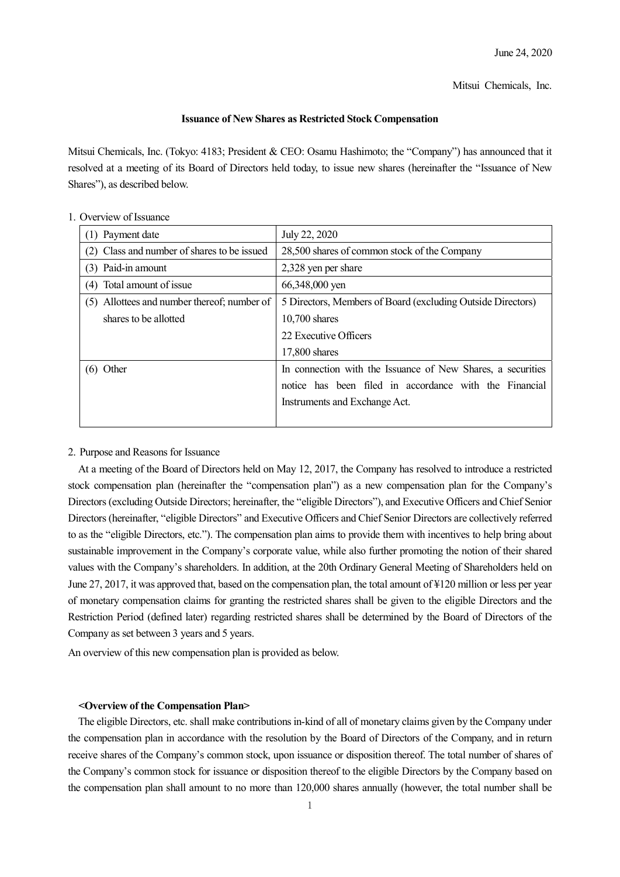Mitsui Chemicals, Inc.

## **Issuance of New Shares as Restricted Stock Compensation**

Mitsui Chemicals, Inc. (Tokyo: 4183; President & CEO: Osamu Hashimoto; the "Company") has announced that it resolved at a meeting of its Board of Directors held today, to issue new shares (hereinafter the "Issuance of New Shares"), as described below.

| (1) Payment date                            | July 22, 2020                                               |
|---------------------------------------------|-------------------------------------------------------------|
| (2) Class and number of shares to be issued | 28,500 shares of common stock of the Company                |
| (3) Paid-in amount                          | 2,328 yen per share                                         |
| (4) Total amount of issue                   | 66,348,000 yen                                              |
| (5) Allottees and number thereof; number of | 5 Directors, Members of Board (excluding Outside Directors) |
| shares to be allotted                       | $10,700$ shares                                             |
|                                             | 22 Executive Officers                                       |
|                                             | $17,800$ shares                                             |
| $(6)$ Other                                 | In connection with the Issuance of New Shares, a securities |
|                                             | notice has been filed in accordance with the Financial      |
|                                             | Instruments and Exchange Act.                               |
|                                             |                                                             |

# 1. Overview of Issuance

#### 2. Purpose and Reasons for Issuance

At a meeting of the Board of Directors held on May 12, 2017, the Company has resolved to introduce a restricted stock compensation plan (hereinafter the "compensation plan") as a new compensation plan for the Company's Directors (excluding Outside Directors; hereinafter, the "eligible Directors"), and Executive Officers and Chief Senior Directors (hereinafter, "eligible Directors" and Executive Officers and Chief Senior Directors are collectively referred to as the "eligible Directors, etc."). The compensation plan aims to provide them with incentives to help bring about sustainable improvement in the Company's corporate value, while also further promoting the notion of their shared values with the Company's shareholders. In addition, at the 20th Ordinary General Meeting of Shareholders held on June 27, 2017, it was approved that, based on the compensation plan, the total amount of ¥120 million or less per year of monetary compensation claims for granting the restricted shares shall be given to the eligible Directors and the Restriction Period (defined later) regarding restricted shares shall be determined by the Board of Directors of the Company as set between 3 years and 5 years.

An overview of this new compensation plan is provided as below.

### **<Overview of the Compensation Plan>**

The eligible Directors, etc. shall make contributions in-kind of all of monetary claims given by the Company under the compensation plan in accordance with the resolution by the Board of Directors of the Company, and in return receive shares of the Company's common stock, upon issuance or disposition thereof. The total number of shares of the Company's common stock for issuance or disposition thereof to the eligible Directors by the Company based on the compensation plan shall amount to no more than 120,000 shares annually (however, the total number shall be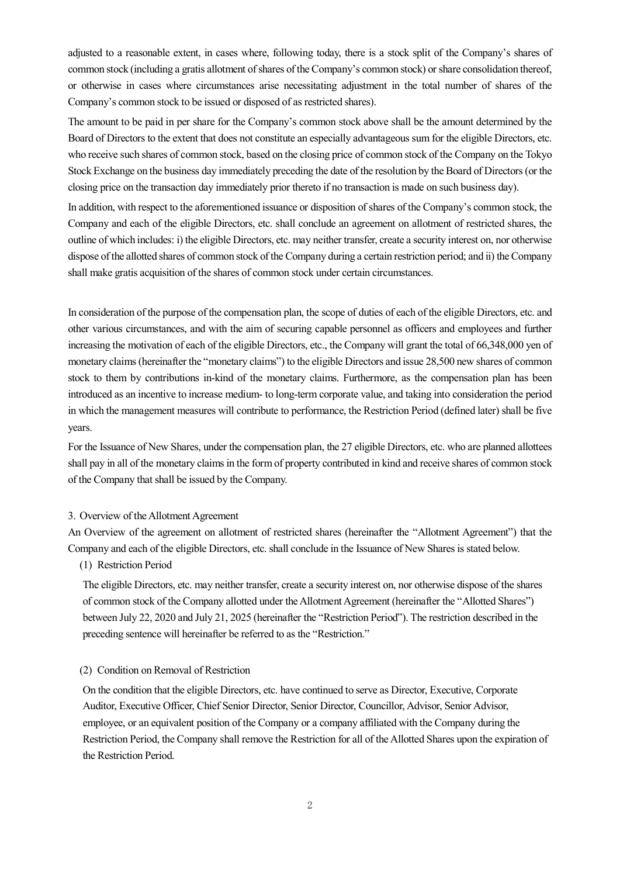adjusted to a reasonable extent, in cases where, following today, there is a stock split of the Company's shares of common stock (including a gratis allotment of shares of the Company's common stock) or share consolidation thereof, or otherwise in cases where circumstances arise necessitating adjustment in the total number of shares of the Company's common stock to be issued or disposed of as restricted shares).

The amount to be paid in per share for the Company's common stock above shall be the amount determined by the Board of Directors to the extent that does not constitute an especially advantageous sum for the eligible Directors, etc. who receive such shares of common stock, based on the closing price of common stock of the Company on the Tokyo Stock Exchange on the business day immediately preceding the date of the resolution by the Board of Directors (or the closing price on the transaction day immediately prior thereto if no transaction is made on such business day).

In addition, with respect to the aforementioned issuance or disposition of shares of the Company's common stock, the Company and each of the eligible Directors, etc. shall conclude an agreement on allotment of restricted shares, the outline of which includes: i) the eligible Directors, etc. may neither transfer, create a security interest on, nor otherwise dispose of the allotted shares of common stock of the Company during a certain restriction period; and ii) the Company shall make gratis acquisition of the shares of common stock under certain circumstances.

In consideration of the purpose of the compensation plan, the scope of duties of each of the eligible Directors, etc. and other various circumstances, and with the aim of securing capable personnel as officers and employees and further increasing the motivation of each of the eligible Directors, etc., the Company will grant the total of 66,348,000 yen of monetary claims (hereinafter the "monetary claims") to the eligible Directors and issue 28,500 new shares of common stock to them by contributions in-kind of the monetary claims. Furthermore, as the compensation plan has been introduced as an incentive to increase medium- to long-term corporate value, and taking into consideration the period in which the management measures will contribute to performance, the Restriction Period (defined later) shall be five years.

For the Issuance of New Shares, under the compensation plan, the 27 eligible Directors, etc. who are planned allottees shall pay in all of the monetary claims in the form of property contributed in kind and receive shares of common stock of the Company that shall be issued by the Company.

## 3. Overview of the Allotment Agreement

An Overview of the agreement on allotment of restricted shares (hereinafter the "Allotment Agreement") that the Company and each of the eligible Directors, etc. shall conclude in the Issuance of New Shares is stated below.

# (1) Restriction Period

The eligible Directors, etc. may neither transfer, create a security interest on, nor otherwise dispose of the shares of common stock of the Company allotted under the Allotment Agreement (hereinafter the "Allotted Shares") between July 22, 2020 and July 21, 2025 (hereinafter the "Restriction Period"). The restriction described in the preceding sentence will hereinafter be referred to as the "Restriction."

### (2) Condition on Removal of Restriction

On the condition that the eligible Directors, etc. have continued to serve as Director, Executive, Corporate Auditor, Executive Officer, Chief Senior Director, Senior Director, Councillor, Advisor, Senior Advisor, employee, or an equivalent position of the Company or a company affiliated with the Company during the Restriction Period, the Company shall remove the Restriction for all of the Allotted Shares upon the expiration of the Restriction Period.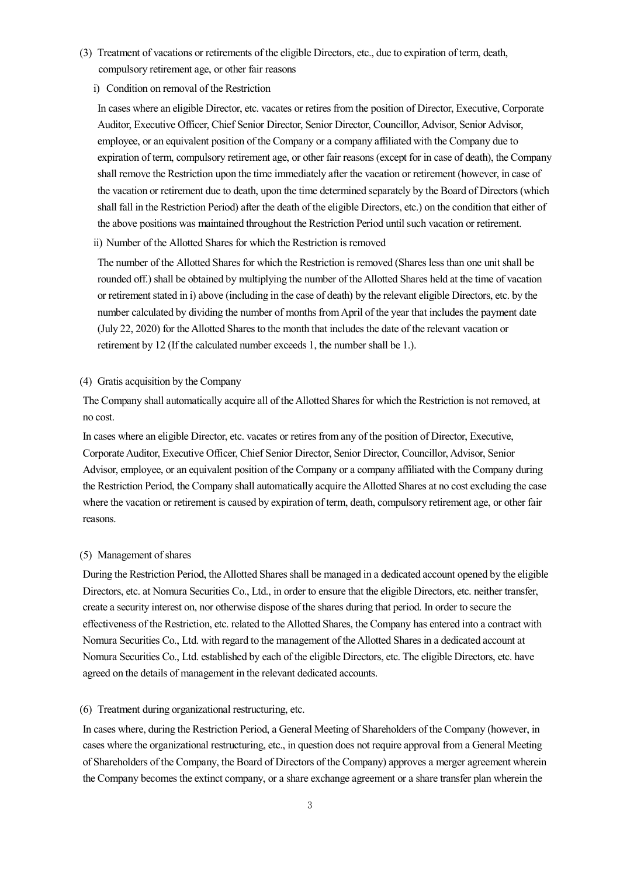- (3) Treatment of vacations or retirements of the eligible Directors, etc., due to expiration of term, death, compulsory retirement age, or other fair reasons
	- i) Condition on removal of the Restriction

In cases where an eligible Director, etc. vacates or retires from the position of Director, Executive, Corporate Auditor, Executive Officer, Chief Senior Director, Senior Director, Councillor, Advisor, Senior Advisor, employee, or an equivalent position of the Company or a company affiliated with the Company due to expiration of term, compulsory retirement age, or other fair reasons (except for in case of death), the Company shall remove the Restriction upon the time immediately after the vacation or retirement (however, in case of the vacation or retirement due to death, upon the time determined separately by the Board of Directors (which shall fall in the Restriction Period) after the death of the eligible Directors, etc.) on the condition that either of the above positions was maintained throughout the Restriction Period until such vacation or retirement.

ii) Number of the Allotted Shares for which the Restriction is removed

The number of the Allotted Shares for which the Restriction is removed (Shares less than one unit shall be rounded off.) shall be obtained by multiplying the number of the Allotted Shares held at the time of vacation or retirement stated in i) above (including in the case of death) by the relevant eligible Directors, etc. by the number calculated by dividing the number of months from April of the year that includes the payment date (July 22, 2020) for the Allotted Shares to the month that includes the date of the relevant vacation or retirement by 12 (If the calculated number exceeds 1, the number shall be 1.).

## (4) Gratis acquisition by the Company

The Company shall automatically acquire all of the Allotted Shares for which the Restriction is not removed, at no cost.

In cases where an eligible Director, etc. vacates or retires from any of the position of Director, Executive, Corporate Auditor, Executive Officer, Chief Senior Director, Senior Director, Councillor, Advisor, Senior Advisor, employee, or an equivalent position of the Company or a company affiliated with the Company during the Restriction Period, the Company shall automatically acquire the Allotted Shares at no cost excluding the case where the vacation or retirement is caused by expiration of term, death, compulsory retirement age, or other fair reasons.

#### (5) Management of shares

During the Restriction Period, the Allotted Shares shall be managed in a dedicated account opened by the eligible Directors, etc. at Nomura Securities Co., Ltd., in order to ensure that the eligible Directors, etc. neither transfer, create a security interest on, nor otherwise dispose of the shares during that period. In order to secure the effectiveness of the Restriction, etc. related to the Allotted Shares, the Company has entered into a contract with Nomura Securities Co., Ltd. with regard to the management of the Allotted Shares in a dedicated account at Nomura Securities Co., Ltd. established by each of the eligible Directors, etc. The eligible Directors, etc. have agreed on the details of management in the relevant dedicated accounts.

### (6) Treatment during organizational restructuring, etc.

In cases where, during the Restriction Period, a General Meeting of Shareholders of the Company (however, in cases where the organizational restructuring, etc., in question does not require approval from a General Meeting of Shareholders of the Company, the Board of Directors of the Company) approves a merger agreement wherein the Company becomes the extinct company, or a share exchange agreement or a share transfer plan wherein the